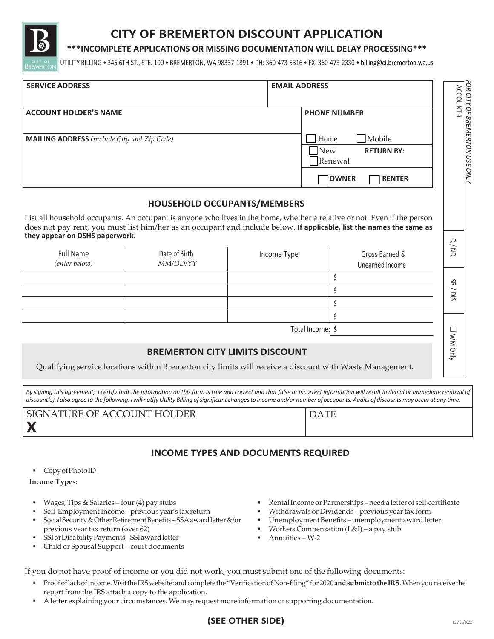

## **CITY OF BREMERTON DISCOUNT APPLICATION**

#### **\*\*\*INCOMPLETE APPLICATIONS OR MISSING DOCUMENTATION WILL DELAY PROCESSING\*\*\***

UTILITY BILLING • 345 6TH ST., STE. 100 • BREMERTON, WA 98337-1891 • PH: 360-473-5316 • FX: 360-473-2330 [• billing@ci.bremerton.wa.us](mailto:billing@ci.bremerton.wa.us)

| <b>SERVICE ADDRESS</b>                                                                                                                                                                                                                                                                                                                                                                               |                                                                                                                                                   |                  | <b>EMAIL ADDRESS</b>                                                                                                                                                                                                                  |                                                                                                                                                                                                                                                  | ACCOUNT#                                   |
|------------------------------------------------------------------------------------------------------------------------------------------------------------------------------------------------------------------------------------------------------------------------------------------------------------------------------------------------------------------------------------------------------|---------------------------------------------------------------------------------------------------------------------------------------------------|------------------|---------------------------------------------------------------------------------------------------------------------------------------------------------------------------------------------------------------------------------------|--------------------------------------------------------------------------------------------------------------------------------------------------------------------------------------------------------------------------------------------------|--------------------------------------------|
| <b>ACCOUNT HOLDER'S NAME</b>                                                                                                                                                                                                                                                                                                                                                                         |                                                                                                                                                   |                  |                                                                                                                                                                                                                                       | <b>PHONE NUMBER</b>                                                                                                                                                                                                                              |                                            |
| <b>MAILING ADDRESS</b> (include City and Zip Code)                                                                                                                                                                                                                                                                                                                                                   |                                                                                                                                                   |                  | Mobile<br>Home<br><b>New</b><br><b>RETURN BY:</b><br>Renewal                                                                                                                                                                          |                                                                                                                                                                                                                                                  | <sup>F</sup> OR CITY OF BREMERTON USE ONLY |
|                                                                                                                                                                                                                                                                                                                                                                                                      |                                                                                                                                                   |                  |                                                                                                                                                                                                                                       | OWNER<br><b>RENTER</b>                                                                                                                                                                                                                           |                                            |
|                                                                                                                                                                                                                                                                                                                                                                                                      | <b>HOUSEHOLD OCCUPANTS/MEMBERS</b>                                                                                                                |                  |                                                                                                                                                                                                                                       |                                                                                                                                                                                                                                                  |                                            |
| they appear on DSHS paperwork.                                                                                                                                                                                                                                                                                                                                                                       |                                                                                                                                                   |                  |                                                                                                                                                                                                                                       | List all household occupants. An occupant is anyone who lives in the home, whether a relative or not. Even if the person<br>does not pay rent, you must list him/her as an occupant and include below. If applicable, list the names the same as |                                            |
| <b>Full Name</b><br>(enter below)                                                                                                                                                                                                                                                                                                                                                                    | Date of Birth<br>MM/DD/YY                                                                                                                         | Income Type      |                                                                                                                                                                                                                                       | Gross Earned &<br>Unearned Income                                                                                                                                                                                                                | Q/NQ                                       |
|                                                                                                                                                                                                                                                                                                                                                                                                      |                                                                                                                                                   |                  |                                                                                                                                                                                                                                       | \$<br>\$<br>\$                                                                                                                                                                                                                                   | SR/DIS                                     |
|                                                                                                                                                                                                                                                                                                                                                                                                      |                                                                                                                                                   |                  | Total Income: \$                                                                                                                                                                                                                      | \$                                                                                                                                                                                                                                               |                                            |
|                                                                                                                                                                                                                                                                                                                                                                                                      | <b>BREMERTON CITY LIMITS DISCOUNT</b><br>Qualifying service locations within Bremerton city limits will receive a discount with Waste Management. |                  |                                                                                                                                                                                                                                       |                                                                                                                                                                                                                                                  | NM Only                                    |
| By signing this agreement, I certify that the information on this form is true and correct and that false or incorrect information will result in denial or immediate removal of<br>discount(s). I also agree to the following: I will notify Utility Billing of significant changes to income and/or number of occupants. Audits of discounts may occur at any time.<br>SIGNATURE OF ACCOUNT HOLDER |                                                                                                                                                   |                  |                                                                                                                                                                                                                                       | <b>DATE</b>                                                                                                                                                                                                                                      |                                            |
|                                                                                                                                                                                                                                                                                                                                                                                                      | <b>INCOME TYPES AND DOCUMENTS REQUIRED</b>                                                                                                        |                  |                                                                                                                                                                                                                                       |                                                                                                                                                                                                                                                  |                                            |
| Copy of Photo ID<br><b>Income Types:</b>                                                                                                                                                                                                                                                                                                                                                             |                                                                                                                                                   |                  |                                                                                                                                                                                                                                       |                                                                                                                                                                                                                                                  |                                            |
| Wages, Tips & Salaries – four (4) pay stubs<br>$\bullet$<br>Self-Employment Income-previous year's tax return<br>Social Security & Other Retirement Benefits-SSA award letter &/or<br>previous year tax return (over 62)<br>SSI or Disability Payments-SSI award letter<br>٠<br>Child or Spousal Support - court documents                                                                           |                                                                                                                                                   |                  | Rental Income or Partnerships-need a letter of self-certificate<br>Withdrawals or Dividends - previous year tax form<br>Unemployment Benefits-unemployment award letter<br>Workers Compensation (L&I) – a pay stub<br>Annuities – W-2 |                                                                                                                                                                                                                                                  |                                            |
| If you do not have proof of income or you did not work, you must submit one of the following documents:<br>report from the IRS attach a copy to the application.                                                                                                                                                                                                                                     | A letter explaining your circumstances. We may request more information or supporting documentation.                                              |                  |                                                                                                                                                                                                                                       | Proof of lack of income. Visit the IRS website: and complete the "Verification of Non-filing" for 2020 and submit to the IRS. When you receive the                                                                                               |                                            |
|                                                                                                                                                                                                                                                                                                                                                                                                      |                                                                                                                                                   | (SEE OTHER SIDE) |                                                                                                                                                                                                                                       |                                                                                                                                                                                                                                                  | REV 01/2022                                |

# DATE

## **INCOME TYPES AND DOCUMENTS REQUIRED**

- Wages, Tips & Salaries four (4) pay stubs
- Self-Employment Income previous year's tax return
- Social Security & Other Retirement Benefits-SSA award letter &/or previous year tax return (over 62)
- SSIorDisabilityPayments SSIawardletter
- Child or Spousal Support court documents
- Rental Income or Partnerships need a letter of self-certificate
- Withdrawals or Dividends previous year tax form
- Unemployment Benefits unemployment award letter
- Workers Compensation (L&I) a pay stub
- Annuities W-2

- Proofoflackofincome.Visitthe IRSwebsite: andcomplete the"VerificationofNon-filing" for2020**andsubmittothe IRS**. Whenyoureceive the report from the IRS attach a copy to the application.
- A letter explaining your circumstances. Wemay request more information or supporting documentation.